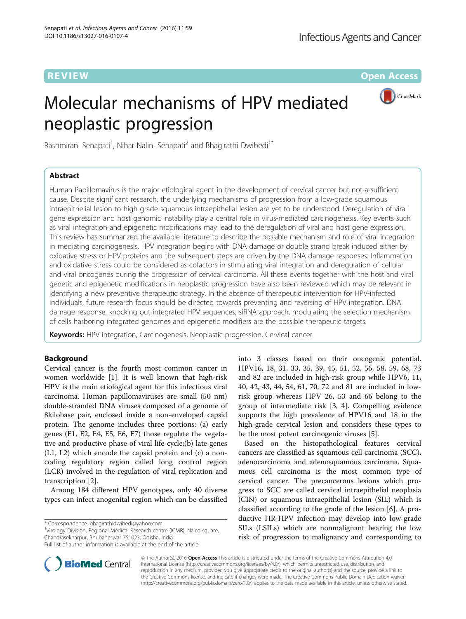**REVIEW ACCESS AND LOCAL CONTRACT CONTRACT OF ACCESS** 

# Molecular mechanisms of HPV mediated neoplastic progression



Rashmirani Senapati<sup>1</sup>, Nihar Nalini Senapati<sup>2</sup> and Bhagirathi Dwibedi<sup>1\*</sup>

# Abstract

Human Papillomavirus is the major etiological agent in the development of cervical cancer but not a sufficient cause. Despite significant research, the underlying mechanisms of progression from a low-grade squamous intraepithelial lesion to high grade squamous intraepithelial lesion are yet to be understood. Deregulation of viral gene expression and host genomic instability play a central role in virus-mediated carcinogenesis. Key events such as viral integration and epigenetic modifications may lead to the deregulation of viral and host gene expression. This review has summarized the available literature to describe the possible mechanism and role of viral integration in mediating carcinogenesis. HPV integration begins with DNA damage or double strand break induced either by oxidative stress or HPV proteins and the subsequent steps are driven by the DNA damage responses. Inflammation and oxidative stress could be considered as cofactors in stimulating viral integration and deregulation of cellular and viral oncogenes during the progression of cervical carcinoma. All these events together with the host and viral genetic and epigenetic modifications in neoplastic progression have also been reviewed which may be relevant in identifying a new preventive therapeutic strategy. In the absence of therapeutic intervention for HPV-infected individuals, future research focus should be directed towards preventing and reversing of HPV integration. DNA damage response, knocking out integrated HPV sequences, siRNA approach, modulating the selection mechanism of cells harboring integrated genomes and epigenetic modifiers are the possible therapeutic targets.

Keywords: HPV integration, Carcinogenesis, Neoplastic progression, Cervical cancer

# Background

Cervical cancer is the fourth most common cancer in women worldwide [[1\]](#page-7-0). It is well known that high-risk HPV is the main etiological agent for this infectious viral carcinoma. Human papillomaviruses are small (50 nm) double-stranded DNA viruses composed of a genome of 8kilobase pair, enclosed inside a non-enveloped capsid protein. The genome includes three portions: (a) early genes (E1, E2, E4, E5, E6, E7) those regulate the vegetative and productive phase of viral life cycle;(b) late genes (L1, L2) which encode the capsid protein and (c) a noncoding regulatory region called long control region (LCR) involved in the regulation of viral replication and transcription [\[2](#page-7-0)].

Among 184 different HPV genotypes, only 40 diverse types can infect anogenital region which can be classified

<sup>1</sup>Virology Division, Regional Medical Research centre (ICMR), Nalco square, Chandrasekharpur, Bhubaneswar 751023, Odisha, India

into 3 classes based on their oncogenic potential. HPV16, 18, 31, 33, 35, 39, 45, 51, 52, 56, 58, 59, 68, 73 and 82 are included in high-risk group while HPV6, 11, 40, 42, 43, 44, 54, 61, 70, 72 and 81 are included in lowrisk group whereas HPV 26, 53 and 66 belong to the group of intermediate risk [[3, 4](#page-7-0)]. Compelling evidence supports the high prevalence of HPV16 and 18 in the high-grade cervical lesion and considers these types to be the most potent carcinogenic viruses [\[5](#page-7-0)].

Based on the histopathological features cervical cancers are classified as squamous cell carcinoma (SCC), adenocarcinoma and adenosquamous carcinoma. Squamous cell carcinoma is the most common type of cervical cancer. The precancerous lesions which progress to SCC are called cervical intraepithelial neoplasia (CIN) or squamous intraepithelial lesion (SIL) which is classified according to the grade of the lesion [[6](#page-7-0)]. A productive HR-HPV infection may develop into low-grade SILs (LSILs) which are nonmalignant bearing the low risk of progression to malignancy and corresponding to



© The Author(s). 2016 Open Access This article is distributed under the terms of the Creative Commons Attribution 4.0 International License [\(http://creativecommons.org/licenses/by/4.0/](http://creativecommons.org/licenses/by/4.0/)), which permits unrestricted use, distribution, and reproduction in any medium, provided you give appropriate credit to the original author(s) and the source, provide a link to the Creative Commons license, and indicate if changes were made. The Creative Commons Public Domain Dedication waiver [\(http://creativecommons.org/publicdomain/zero/1.0/](http://creativecommons.org/publicdomain/zero/1.0/)) applies to the data made available in this article, unless otherwise stated.

<sup>\*</sup> Correspondence: [bhagirathidwibedi@yahoo.com](mailto:bhagirathidwibedi@yahoo.com) <sup>1</sup>

Full list of author information is available at the end of the article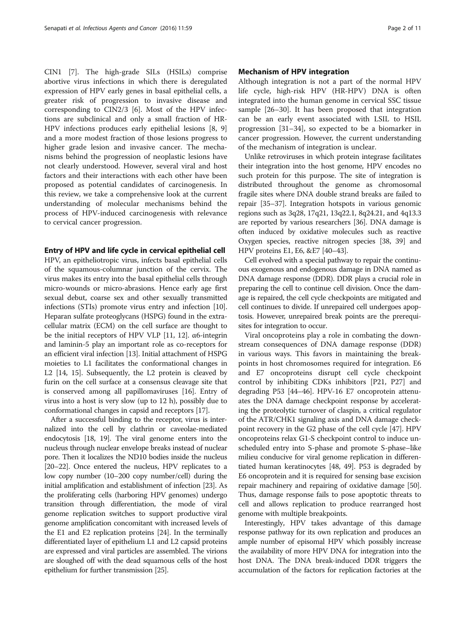CIN1 [[7\]](#page-7-0). The high-grade SILs (HSILs) comprise abortive virus infections in which there is deregulated expression of HPV early genes in basal epithelial cells, a greater risk of progression to invasive disease and corresponding to CIN2/3 [[6\]](#page-7-0). Most of the HPV infections are subclinical and only a small fraction of HR-HPV infections produces early epithelial lesions [\[8](#page-7-0), [9](#page-7-0)] and a more modest fraction of those lesions progress to higher grade lesion and invasive cancer. The mechanisms behind the progression of neoplastic lesions have not clearly understood. However, several viral and host factors and their interactions with each other have been proposed as potential candidates of carcinogenesis. In this review, we take a comprehensive look at the current understanding of molecular mechanisms behind the process of HPV-induced carcinogenesis with relevance to cervical cancer progression.

# Entry of HPV and life cycle in cervical epithelial cell

HPV, an epitheliotropic virus, infects basal epithelial cells of the squamous-columnar junction of the cervix. The virus makes its entry into the basal epithelial cells through micro-wounds or micro-abrasions. Hence early age first sexual debut, coarse sex and other sexually transmitted infections (STIs) promote virus entry and infection [[10](#page-7-0)]. Heparan sulfate proteoglycans (HSPG) found in the extracellular matrix (ECM) on the cell surface are thought to be the initial receptors of HPV VLP [[11, 12\]](#page-7-0). α6-integrin and laminin-5 play an important role as co-receptors for an efficient viral infection [\[13\]](#page-7-0). Initial attachment of HSPG moieties to L1 facilitates the conformational changes in L2 [[14](#page-7-0), [15\]](#page-7-0). Subsequently, the L2 protein is cleaved by furin on the cell surface at a consensus cleavage site that is conserved among all papillomaviruses [[16](#page-7-0)]. Entry of virus into a host is very slow (up to 12 h), possibly due to conformational changes in capsid and receptors [\[17\]](#page-7-0).

After a successful binding to the receptor, virus is internalized into the cell by clathrin or caveolae-mediated endocytosis [[18](#page-7-0), [19](#page-7-0)]. The viral genome enters into the nucleus through nuclear envelope breaks instead of nuclear pore. Then it localizes the ND10 bodies inside the nucleus [[20](#page-7-0)–[22](#page-7-0)]. Once entered the nucleus, HPV replicates to a low copy number (10–200 copy number/cell) during the initial amplification and establishment of infection [\[23\]](#page-7-0). As the proliferating cells (harboring HPV genomes) undergo transition through differentiation, the mode of viral genome replication switches to support productive viral genome amplification concomitant with increased levels of the E1 and E2 replication proteins [[24](#page-7-0)]. In the terminally differentiated layer of epithelium L1 and L2 capsid proteins are expressed and viral particles are assembled. The virions are sloughed off with the dead squamous cells of the host epithelium for further transmission [[25](#page-7-0)].

# Mechanism of HPV integration

Although integration is not a part of the normal HPV life cycle, high-risk HPV (HR-HPV) DNA is often integrated into the human genome in cervical SSC tissue sample [\[26](#page-7-0)–[30\]](#page-7-0). It has been proposed that integration can be an early event associated with LSIL to HSIL progression [[31](#page-7-0)–[34](#page-8-0)], so expected to be a biomarker in cancer progression. However, the current understanding of the mechanism of integration is unclear.

Unlike retroviruses in which protein integrase facilitates their integration into the host genome, HPV encodes no such protein for this purpose. The site of integration is distributed throughout the genome as chromosomal fragile sites where DNA double strand breaks are failed to repair [[35](#page-8-0)–[37\]](#page-8-0). Integration hotspots in various genomic regions such as 3q28, 17q21, 13q22.1, 8q24.21, and 4q13.3 are reported by various researchers [[36](#page-8-0)]. DNA damage is often induced by oxidative molecules such as reactive Oxygen species, reactive nitrogen species [\[38](#page-8-0), [39](#page-8-0)] and HPV proteins E1, E6, &E7 [[40](#page-8-0)–[43\]](#page-8-0).

Cell evolved with a special pathway to repair the continuous exogenous and endogenous damage in DNA named as DNA damage response (DDR). DDR plays a crucial role in preparing the cell to continue cell division. Once the damage is repaired, the cell cycle checkpoints are mitigated and cell continues to divide. If unrepaired cell undergoes apoptosis. However, unrepaired break points are the prerequisites for integration to occur.

Viral oncoproteins play a role in combating the downstream consequences of DNA damage response (DDR) in various ways. This favors in maintaining the breakpoints in host chromosomes required for integration. E6 and E7 oncoproteins disrupt cell cycle checkpoint control by inhibiting CDKs inhibitors [P21, P27] and degrading P53 [[44](#page-8-0)–[46](#page-8-0)]. HPV-16 E7 oncoprotein attenuates the DNA damage checkpoint response by accelerating the proteolytic turnover of claspin, a critical regulator of the ATR/CHK1 signaling axis and DNA damage checkpoint recovery in the G2 phase of the cell cycle [\[47\]](#page-8-0). HPV oncoproteins relax G1-S checkpoint control to induce unscheduled entry into S-phase and promote S-phase–like milieu conducive for viral genome replication in differentiated human keratinocytes [[48](#page-8-0), [49](#page-8-0)]. P53 is degraded by E6 oncoprotein and it is required for sensing base excision repair machinery and repairing of oxidative damage [[50](#page-8-0)]. Thus, damage response fails to pose apoptotic threats to cell and allows replication to produce rearranged host genome with multiple breakpoints.

Interestingly, HPV takes advantage of this damage response pathway for its own replication and produces an ample number of episomal HPV which possibly increase the availability of more HPV DNA for integration into the host DNA. The DNA break-induced DDR triggers the accumulation of the factors for replication factories at the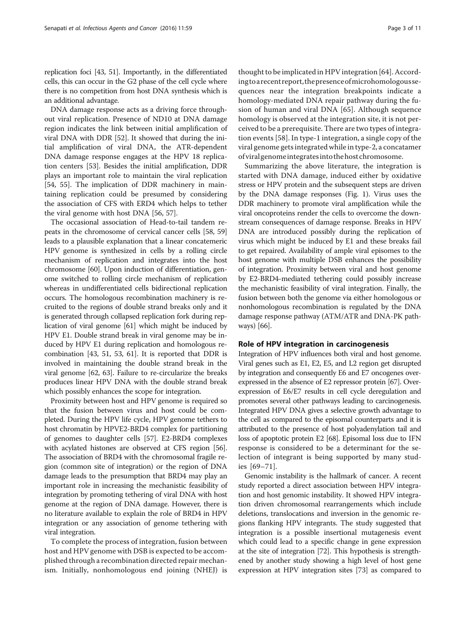replication foci [[43](#page-8-0), [51\]](#page-8-0). Importantly, in the differentiated cells, this can occur in the G2 phase of the cell cycle where there is no competition from host DNA synthesis which is an additional advantage.

DNA damage response acts as a driving force throughout viral replication. Presence of ND10 at DNA damage region indicates the link between initial amplification of viral DNA with DDR [[52\]](#page-8-0). It showed that during the initial amplification of viral DNA, the ATR-dependent DNA damage response engages at the HPV 18 replication centers [\[53](#page-8-0)]. Besides the initial amplification, DDR plays an important role to maintain the viral replication [[54, 55](#page-8-0)]. The implication of DDR machinery in maintaining replication could be presumed by considering the association of CFS with ERD4 which helps to tether the viral genome with host DNA [\[56](#page-8-0), [57\]](#page-8-0).

The occasional association of Head-to-tail tandem repeats in the chromosome of cervical cancer cells [[58](#page-8-0), [59](#page-8-0)] leads to a plausible explanation that a linear concatemeric HPV genome is synthesized in cells by a rolling circle mechanism of replication and integrates into the host chromosome [\[60\]](#page-8-0). Upon induction of differentiation, genome switched to rolling circle mechanism of replication whereas in undifferentiated cells bidirectional replication occurs. The homologous recombination machinery is recruited to the regions of double strand breaks only and it is generated through collapsed replication fork during replication of viral genome [\[61\]](#page-8-0) which might be induced by HPV E1. Double strand break in viral genome may be induced by HPV E1 during replication and homologous recombination [\[43](#page-8-0), [51, 53, 61\]](#page-8-0). It is reported that DDR is involved in maintaining the double strand break in the viral genome [[62, 63\]](#page-8-0). Failure to re-circularize the breaks produces linear HPV DNA with the double strand break which possibly enhances the scope for integration.

Proximity between host and HPV genome is required so that the fusion between virus and host could be completed. During the HPV life cycle, HPV genome tethers to host chromatin by HPVE2-BRD4 complex for partitioning of genomes to daughter cells [\[57\]](#page-8-0). E2-BRD4 complexes with acylated histones are observed at CFS region [[56](#page-8-0)]. The association of BRD4 with the chromosomal fragile region (common site of integration) or the region of DNA damage leads to the presumption that BRD4 may play an important role in increasing the mechanistic feasibility of integration by promoting tethering of viral DNA with host genome at the region of DNA damage. However, there is no literature available to explain the role of BRD4 in HPV integration or any association of genome tethering with viral integration.

To complete the process of integration, fusion between host and HPV genome with DSB is expected to be accomplished through a recombination directed repair mechanism. Initially, nonhomologous end joining (NHEJ) is

thought to be implicated in HPV integration [[64\]](#page-8-0). According to a recent report, the presence of microhomologous sequences near the integration breakpoints indicate a homology-mediated DNA repair pathway during the fusion of human and viral DNA [[65\]](#page-8-0). Although sequence homology is observed at the integration site, it is not perceived to be a prerequisite. There are two types of integration events [[58](#page-8-0)]. In type-1 integration, a single copy of the viral genome gets integrated while in type-2, a concatamer of viralgenomeintegratesinto thehostchromosome.

Summarizing the above literature, the integration is started with DNA damage, induced either by oxidative stress or HPV protein and the subsequent steps are driven by the DNA damage responses (Fig. [1](#page-3-0)). Virus uses the DDR machinery to promote viral amplification while the viral oncoproteins render the cells to overcome the downstream consequences of damage response. Breaks in HPV DNA are introduced possibly during the replication of virus which might be induced by E1 and these breaks fail to get repaired. Availability of ample viral episomes to the host genome with multiple DSB enhances the possibility of integration. Proximity between viral and host genome by E2-BRD4-mediated tethering could possibly increase the mechanistic feasibility of viral integration. Finally, the fusion between both the genome via either homologous or nonhomologous recombination is regulated by the DNA damage response pathway (ATM/ATR and DNA-PK pathways) [[66](#page-8-0)].

# Role of HPV integration in carcinogenesis

Integration of HPV influences both viral and host genome. Viral genes such as E1, E2, E5, and L2 region get disrupted by integration and consequently E6 and E7 oncogenes overexpressed in the absence of E2 repressor protein [[67](#page-8-0)]. Overexpression of E6/E7 results in cell cycle deregulation and promotes several other pathways leading to carcinogenesis. Integrated HPV DNA gives a selective growth advantage to the cell as compared to the episomal counterparts and it is attributed to the presence of host polyadenylation tail and loss of apoptotic protein E2 [\[68\]](#page-8-0). Episomal loss due to IFN response is considered to be a determinant for the selection of integrant is being supported by many studies [[69](#page-8-0)–[71\]](#page-8-0).

Genomic instability is the hallmark of cancer. A recent study reported a direct association between HPV integration and host genomic instability. It showed HPV integration driven chromosomal rearrangements which include deletions, translocations and inversion in the genomic regions flanking HPV integrants. The study suggested that integration is a possible insertional mutagenesis event which could lead to a specific change in gene expression at the site of integration [[72](#page-8-0)]. This hypothesis is strengthened by another study showing a high level of host gene expression at HPV integration sites [[73](#page-8-0)] as compared to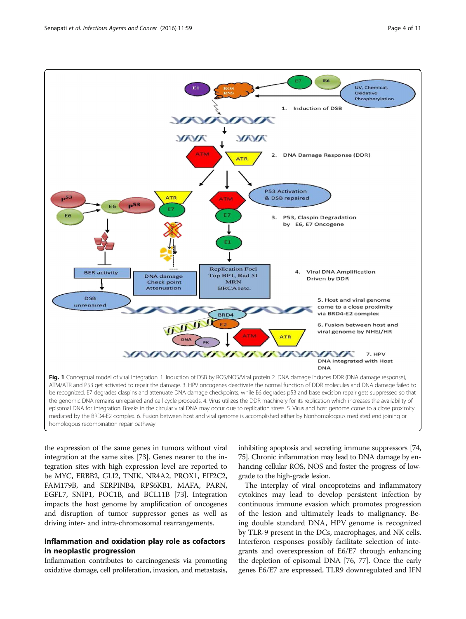<span id="page-3-0"></span>

the expression of the same genes in tumors without viral integration at the same sites [\[73\]](#page-8-0). Genes nearer to the integration sites with high expression level are reported to be MYC, ERBB2, GLI2, TNIK, NR4A2, PROX1, EIF2C2, FAM179B, and SERPINB4, RPS6KB1, MAFA, PARN, EGFL7, SNIP1, POC1B, and BCL11B [[73](#page-8-0)]. Integration impacts the host genome by amplification of oncogenes and disruption of tumor suppressor genes as well as driving inter- and intra-chromosomal rearrangements.

# Inflammation and oxidation play role as cofactors in neoplastic progression

Inflammation contributes to carcinogenesis via promoting oxidative damage, cell proliferation, invasion, and metastasis, inhibiting apoptosis and secreting immune suppressors [\[74](#page-8-0), [75](#page-8-0)]. Chronic inflammation may lead to DNA damage by enhancing cellular ROS, NOS and foster the progress of lowgrade to the high-grade lesion.

The interplay of viral oncoproteins and inflammatory cytokines may lead to develop persistent infection by continuous immune evasion which promotes progression of the lesion and ultimately leads to malignancy. Being double standard DNA, HPV genome is recognized by TLR-9 present in the DCs, macrophages, and NK cells. Interferon responses possibly facilitate selection of integrants and overexpression of E6/E7 through enhancing the depletion of episomal DNA [[76](#page-8-0), [77](#page-8-0)]. Once the early genes E6/E7 are expressed, TLR9 downregulated and IFN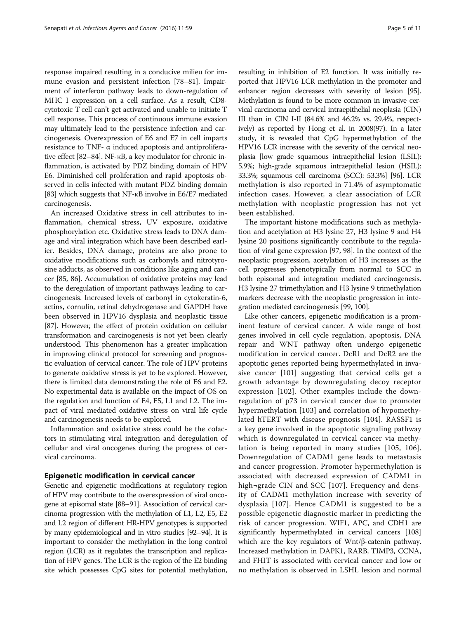response impaired resulting in a conducive milieu for immune evasion and persistent infection [\[78](#page-8-0)–[81](#page-8-0)]. Impairment of interferon pathway leads to down-regulation of MHC I expression on a cell surface. As a result, CD8 cytotoxic T cell can't get activated and unable to initiate T cell response. This process of continuous immune evasion may ultimately lead to the persistence infection and carcinogenesis. Overexpression of E6 and E7 in cell imparts resistance to TNF- α induced apoptosis and antiproliferative effect [[82](#page-8-0)–[84](#page-9-0)]. NF-κB, a key modulator for chronic inflammation, is activated by PDZ binding domain of HPV E6. Diminished cell proliferation and rapid apoptosis observed in cells infected with mutant PDZ binding domain [[83](#page-8-0)] which suggests that NF-κB involve in E6/E7 mediated carcinogenesis.

An increased Oxidative stress in cell attributes to inflammation, chemical stress, UV exposure, oxidative phosphorylation etc. Oxidative stress leads to DNA damage and viral integration which have been described earlier. Besides, DNA damage, proteins are also prone to oxidative modifications such as carbonyls and nitrotyrosine adducts, as observed in conditions like aging and cancer [\[85, 86\]](#page-9-0). Accumulation of oxidative proteins may lead to the deregulation of important pathways leading to carcinogenesis. Increased levels of carbonyl in cytokeratin-6, actins, cornulin, retinal dehydrogenase and GAPDH have been observed in HPV16 dysplasia and neoplastic tissue [[87](#page-9-0)]. However, the effect of protein oxidation on cellular transformation and carcinogenesis is not yet been clearly understood. This phenomenon has a greater implication in improving clinical protocol for screening and prognostic evaluation of cervical cancer. The role of HPV proteins to generate oxidative stress is yet to be explored. However, there is limited data demonstrating the role of E6 and E2. No experimental data is available on the impact of OS on the regulation and function of E4, E5, L1 and L2. The impact of viral mediated oxidative stress on viral life cycle and carcinogenesis needs to be explored.

Inflammation and oxidative stress could be the cofactors in stimulating viral integration and deregulation of cellular and viral oncogenes during the progress of cervical carcinoma.

# Epigenetic modification in cervical cancer

Genetic and epigenetic modifications at regulatory region of HPV may contribute to the overexpression of viral oncogene at episomal state [\[88](#page-9-0)–[91](#page-9-0)]. Association of cervical carcinoma progression with the methylation of L1, L2, E5, E2 and L2 region of different HR-HPV genotypes is supported by many epidemiological and in vitro studies [\[92](#page-9-0)–[94\]](#page-9-0). It is important to consider the methylation in the long control region (LCR) as it regulates the transcription and replication of HPV genes. The LCR is the region of the E2 binding site which possesses CpG sites for potential methylation,

resulting in inhibition of E2 function. It was initially reported that HPV16 LCR methylation in the promoter and enhancer region decreases with severity of lesion [\[95](#page-9-0)]. Methylation is found to be more common in invasive cervical carcinoma and cervical intraepithelial neoplasia (CIN) III than in CIN I-II (84.6% and 46.2% vs. 29.4%, respectively) as reported by Hong et al. in 2008(97). In a later study, it is revealed that CpG hypermethylation of the HPV16 LCR increase with the severity of the cervical neoplasia [low grade squamous intraepithelial lesion (LSIL): 5.9%; high-grade squamous intraepithelial lesion (HSIL): 33.3%; squamous cell carcinoma (SCC): 53.3%] [\[96\]](#page-9-0). LCR methylation is also reported in 71.4% of asymptomatic infection cases. However, a clear association of LCR methylation with neoplastic progression has not yet been established.

The important histone modifications such as methylation and acetylation at H3 lysine 27, H3 lysine 9 and H4 lysine 20 positions significantly contribute to the regulation of viral gene expression [\[97, 98](#page-9-0)]. In the context of the neoplastic progression, acetylation of H3 increases as the cell progresses phenotypically from normal to SCC in both episomal and integration mediated carcinogenesis. H3 lysine 27 trimethylation and H3 lysine 9 trimethylation markers decrease with the neoplastic progression in integration mediated carcinogenesis [[99](#page-9-0), [100](#page-9-0)].

Like other cancers, epigenetic modification is a prominent feature of cervical cancer. A wide range of host genes involved in cell cycle regulation, apoptosis, DNA repair and WNT pathway often undergo epigenetic modification in cervical cancer. DcR1 and DcR2 are the apoptotic genes reported being hypermethylated in invasive cancer [[101](#page-9-0)] suggesting that cervical cells get a growth advantage by downregulating decoy receptor expression [[102](#page-9-0)]. Other examples include the downregulation of p73 in cervical cancer due to promoter hypermethylation [[103](#page-9-0)] and correlation of hypomethylated hTERT with disease prognosis [\[104\]](#page-9-0). RASSF1 is a key gene involved in the apoptotic signaling pathway which is downregulated in cervical cancer via methylation is being reported in many studies [[105](#page-9-0), [106](#page-9-0)]. Downregulation of CADM1 gene leads to metastasis and cancer progression. Promoter hypermethylation is associated with decreased expression of CADM1 in high¬grade CIN and SCC [\[107\]](#page-9-0). Frequency and density of CADM1 methylation increase with severity of dysplasia [[107](#page-9-0)]. Hence CADM1 is suggested to be a possible epigenetic diagnostic marker in predicting the risk of cancer progression. WIF1, APC, and CDH1 are significantly hypermethylated in cervical cancers [\[108](#page-9-0)] which are the key regulators of Wnt/β-catenin pathway. Increased methylation in DAPK1, RARB, TIMP3, CCNA, and FHIT is associated with cervical cancer and low or no methylation is observed in LSHL lesion and normal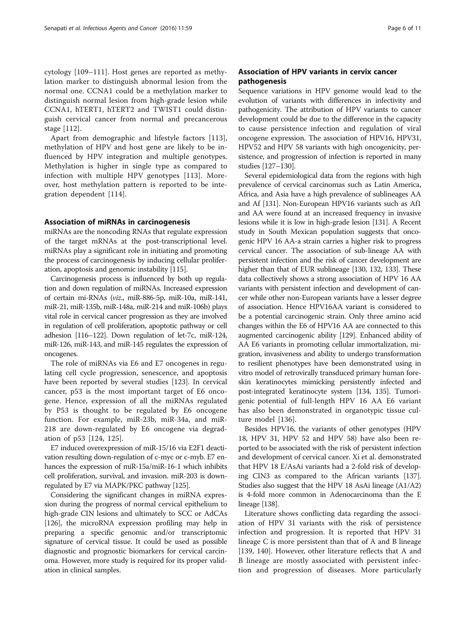cytology [\[109](#page-9-0)–[111](#page-9-0)]. Host genes are reported as methylation marker to distinguish abnormal lesion from the normal one. CCNA1 could be a methylation marker to distinguish normal lesion from high-grade lesion while CCNA1, hTERT1, hTERT2 and TWIST1 could distinguish cervical cancer from normal and precancerous stage [[112\]](#page-9-0).

Apart from demographic and lifestyle factors [\[113](#page-9-0)], methylation of HPV and host gene are likely to be influenced by HPV integration and multiple genotypes. Methylation is higher in single type as compared to infection with multiple HPV genotypes [\[113](#page-9-0)]. Moreover, host methylation pattern is reported to be integration dependent [\[114](#page-9-0)].

# Association of miRNAs in carcinogenesis

miRNAs are the noncoding RNAs that regulate expression of the target mRNAs at the post-transcriptional level. miRNAs play a significant role in initiating and promoting the process of carcinogenesis by inducing cellular proliferation, apoptosis and genomic instability [\[115\]](#page-9-0).

Carcinogenesis process is influenced by both up regulation and down regulation of miRNAs. Increased expression of certain mi-RNAs (viz., miR-886-5p, miR-10a, miR-141, miR-21, miR-135b, miR-148a, miR-214 and miR-106b) plays vital role in cervical cancer progression as they are involved in regulation of cell proliferation, apoptotic pathway or cell adhesion [\[116](#page-9-0)–[122\]](#page-9-0). Down regulation of let-7c, miR-124, miR-126, miR-143, and miR-145 regulates the expression of oncogenes.

The role of miRNAs via E6 and E7 oncogenes in regulating cell cycle progression, senescence, and apoptosis have been reported by several studies [[123](#page-9-0)]. In cervical cancer, p53 is the most important target of E6 oncogene. Hence, expression of all the miRNAs regulated by P53 is thought to be regulated by E6 oncogene function. For example, miR-23b, miR-34a, and miR-218 are down-regulated by E6 oncogene via degradation of p53 [\[124](#page-9-0), [125](#page-9-0)].

E7 induced overexpression of miR-15/16 via E2F1 deactivation resulting down-regulation of c-myc or c-myb. E7 enhances the expression of miR-15a/miR-16-1 which inhibits cell proliferation, survival, and invasion. miR-203 is downregulated by E7 via MAPK/PKC pathway [[125](#page-9-0)].

Considering the significant changes in miRNA expression during the progress of normal cervical epithelium to high-grade CIN lesions and ultimately to SCC or AdCAs [[126](#page-9-0)], the microRNA expression profiling may help in preparing a specific genomic and/or transcriptomic signature of cervical tissue. It could be used as possible diagnostic and prognostic biomarkers for cervical carcinoma. However, more study is required for its proper validation in clinical samples.

# Association of HPV variants in cervix cancer pathogenesis

Sequence variations in HPV genome would lead to the evolution of variants with differences in infectivity and pathogenicity. The attribution of HPV variants to cancer development could be due to the difference in the capacity to cause persistence infection and regulation of viral oncogene expression. The association of HPV16, HPV31, HPV52 and HPV 58 variants with high oncogenicity, persistence, and progression of infection is reported in many studies [\[127](#page-9-0)–[130\]](#page-9-0).

Several epidemiological data from the regions with high prevalence of cervical carcinomas such as Latin America, Africa, and Asia have a high prevalence of sublineages AA and Af [\[131](#page-9-0)]. Non-European HPV16 variants such as Af1 and AA were found at an increased frequency in invasive lesions while it is low in high-grade lesion [\[131](#page-9-0)]. A Recent study in South Mexican population suggests that oncogenic HPV 16 AA-a strain carries a higher risk to progress cervical cancer. The association of sub-lineage AA with persistent infection and the risk of cancer development are higher than that of EUR sublineage [\[130](#page-9-0), [132, 133](#page-10-0)]. These data collectively shows a strong association of HPV 16 AA variants with persistent infection and development of cancer while other non-European variants have a lesser degree of association. Hence HPV16AA variant is considered to be a potential carcinogenic strain. Only three amino acid changes within the E6 of HPV16 AA are connected to this augmented carcinogenic ability [\[129](#page-9-0)]. Enhanced ability of AA E6 variants in promoting cellular immortalization, migration, invasiveness and ability to undergo transformation to resilient phenotypes have been demonstrated using in vitro model of retrovirally transduced primary human foreskin keratinocytes mimicking persistently infected and post-integrated keratinocyte system [\[134, 135](#page-10-0)]. Tumorigenic potential of full-length HPV 16 AA E6 variant has also been demonstrated in organotypic tissue culture model [[136\]](#page-10-0).

Besides HPV16, the variants of other genotypes (HPV 18, HPV 31, HPV 52 and HPV 58) have also been reported to be associated with the risk of persistent infection and development of cervical cancer. Xi et al. demonstrated that HPV 18 E/AsAi variants had a 2-fold risk of developing CIN3 as compared to the African variants [[137](#page-10-0)]. Studies also suggest that the HPV 18 AsAi lineage (A1/A2) is 4-fold more common in Adenocarcinoma than the E lineage [\[138\]](#page-10-0).

Literature shows conflicting data regarding the association of HPV 31 variants with the risk of persistence infection and progression. It is reported that HPV 31 lineage C is more persistent than that of A and B lineage [[139, 140](#page-10-0)]. However, other literature reflects that A and B lineage are mostly associated with persistent infection and progression of diseases. More particularly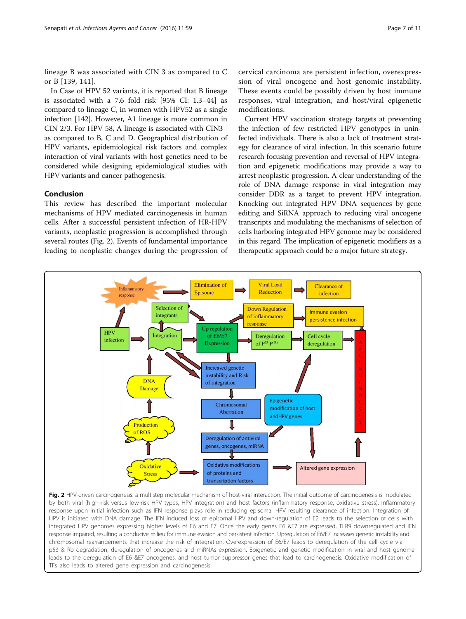lineage B was associated with CIN 3 as compared to C or B [[139](#page-10-0), [141\]](#page-10-0).

In Case of HPV 52 variants, it is reported that B lineage is associated with a 7.6 fold risk [95% CI: 1.3–44] as compared to lineage C, in women with HPV52 as a single infection [\[142](#page-10-0)]. However, A1 lineage is more common in CIN 2/3. For HPV 58, A lineage is associated with CIN3+ as compared to B, C and D. Geographical distribution of HPV variants, epidemiological risk factors and complex interaction of viral variants with host genetics need to be considered while designing epidemiological studies with HPV variants and cancer pathogenesis.

# Conclusion

This review has described the important molecular mechanisms of HPV mediated carcinogenesis in human cells. After a successful persistent infection of HR-HPV variants, neoplastic progression is accomplished through several routes (Fig. 2). Events of fundamental importance leading to neoplastic changes during the progression of cervical carcinoma are persistent infection, overexpression of viral oncogene and host genomic instability. These events could be possibly driven by host immune responses, viral integration, and host/viral epigenetic modifications.

Current HPV vaccination strategy targets at preventing the infection of few restricted HPV genotypes in uninfected individuals. There is also a lack of treatment strategy for clearance of viral infection. In this scenario future research focusing prevention and reversal of HPV integration and epigenetic modifications may provide a way to arrest neoplastic progression. A clear understanding of the role of DNA damage response in viral integration may consider DDR as a target to prevent HPV integration. Knocking out integrated HPV DNA sequences by gene editing and SiRNA approach to reducing viral oncogene transcripts and modulating the mechanisms of selection of cells harboring integrated HPV genome may be considered in this regard. The implication of epigenetic modifiers as a therapeutic approach could be a major future strategy.



Fig. 2 HPV-driven carcinogenesis: a multistep molecular mechanism of host-viral interaction. The initial outcome of carcinogenesis is modulated by both viral (high-risk versus low-risk HPV types, HPV integration) and host factors (inflammatory response, oxidative stress). Inflammatory response upon initial infection such as IFN response plays role in reducing episomal HPV resulting clearance of infection. Integration of HPV is initiated with DNA damage. The IFN induced loss of episomal HPV and down-regulation of E2 leads to the selection of cells with integrated HPV genomes expressing higher levels of E6 and E7. Once the early genes E6 &E7 are expressed, TLR9 downregulated and IFN response impaired, resulting a conducive milieu for immune evasion and persistent infection. Upregulation of E6/E7 increases genetic instability and chromosomal rearrangements that increase the risk of integration. Overexpression of E6/E7 leads to deregulation of the cell cycle via p53 & Rb degradation, deregulation of oncogenes and miRNAs expression. Epigenetic and genetic modification in viral and host genome leads to the deregulation of E6 &E7 oncogenes, and host tumor suppressor genes that lead to carcinogenesis. Oxidative modification of TFs also leads to altered gene expression and carcinogenesis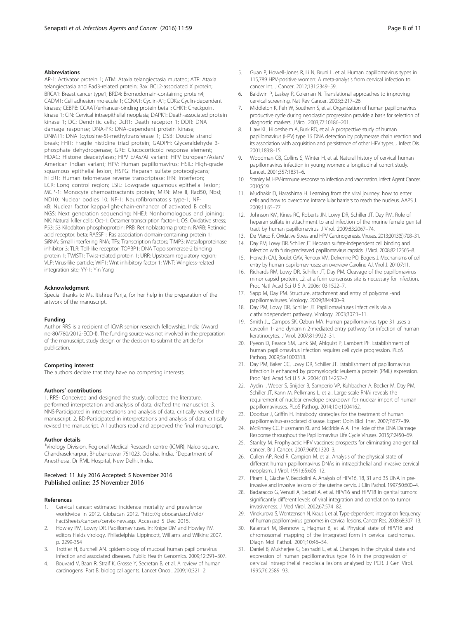# <span id="page-7-0"></span>Abbreviations

AP-1: Activator protein 1; ATM: Ataxia telangiectasia mutated; ATR: Ataxia telangiectasia and Rad3-related protein; Bax: BCL2-associated X protein; BRCA1: Breast cancer type1; BRD4: Bromodomain-containing protein4; CADM1: Cell adhesion molecule 1; CCNA1: Cyclin-A1; CDKs: Cyclin-dependent kinases; CEBPB: CCAAT/enhancer-binding protein beta i; CHK1: Checkpoint kinase 1; CIN: Cervical intraepithelial neoplasia; DAPK1: Death-associated protein kinase 1; DC: Dendritic cells; DcR1: Death receptor 1; DDR: DNA damage response; DNA-PK: DNA-dependent protein kinase; DNMT1: DNA (cytosine-5)-methyltransferase 1; DSB: Double strand break; FHIT: Fragile histidine triad protein; GADPH: Glyceraldehyde 3 phosphate dehydrogenase; GRE: Glucocorticoid response element; HDAC: Histone deacetylases; HPV E/As/Ai variant: HPV European/Asian/ American Indian variant; HPV: Human papillomavirus; HSIL: High-grade squamous epithelial lesion; HSPG: Heparan sulfate proteoglycans; hTERT: Human telomerase reverse transcriptase; IFN: Interferon; LCR: Long control region; LSIL: Lowgrade squamous epithelial lesion; MCP-1: Monocyte chemoattractants protein; MRN: Mre II, Rad50, NbsI; ND10: Nuclear bodies 10; NF-1: Neurofibromatosis type-1; NFκB: Nuclear factor kappa-light-chain-enhancer of activated B cells; NGS: Next generation sequencing; NHEJ: Nonhomologous end joining; NK: Natural killer cells; Oct-1: Octamer transcription factor-1; OS: Oxidative stress; P53: 53 Kilodalton phosphoprotein; PRB: Retinoblastoma protein; RARB: Retinoic acid receptor, beta; RASSF1: Ras association domain-containing protein 1; SiRNA: Small interfering RNA; TFs: Transcription factors; TIMP3: Metalloproteinase inhibitor 3; TLR: Toll-like receptor; TOPBP1: DNA Topoisomerase-2 binding protein 1; TWIST1: Twist-related protein 1; URR: Upstream regulatory region; VLP: Virus-like particle; WIF1: Wnt inhibitory factor 1; WNT: Wingless-related integration site; YY-1: Yin Yang 1

#### Acknowledgment

Special thanks to Ms. Itishree Parija, for her help in the preparation of the artwork of the manuscript.

### Funding

Author RRS is a recipient of ICMR senior research fellowship, India (Award no-80/780/2012-ECD-I). The funding source was not involved in the preparation of the manuscript, study design or the decision to submit the article for publication.

#### Competing interest

The authors declare that they have no competing interests.

#### Authors' contributions

1. RRS- Conceived and designed the study, collected the literature, performed interpretation and analysis of data, drafted the manuscript. 3. NNS-Participated in interpretations and analysis of data, critically revised the manuscript. 2. BD-Participated in interpretations and analysis of data, critically revised the manuscript. All authors read and approved the final manuscript.

#### Author details

<sup>1</sup>Virology Division, Regional Medical Research centre (ICMR), Nalco square, Chandrasekharpur, Bhubaneswar 751023, Odisha, India. <sup>2</sup>Department of Anesthesia, Dr RML Hospital, New Delhi, India.

# Received: 11 July 2016 Accepted: 5 November 2016 Published online: 25 November 2016

# References

- 1. Cervical cancer: estimated incidence mortality and prevalence worldwide in 2012. Globacan 2012. "[http://globocan.iarc.fr/old/](http://globocan.iarc.fr/old/FactSheets/cancers/cervix-new.asp) [FactSheets/cancers/cervix-new.asp.](http://globocan.iarc.fr/old/FactSheets/cancers/cervix-new.asp) Accessed 5 Dec 2015.
- 2. Howley PM, Lowry DR. Papillomaviruses. In: Knipe DM and Howley PM editors Fields virology. Philadelphia: Lippincott, Williams and Wilkins; 2007. p. 2299-354
- 3. Trottier H, Burchell AN. Epidemiology of mucosal human papillomavirus infection and associated diseases. Public Health Genomics. 2009;12:291–307.
- 4. Bouvard V, Baan R, Straif K, Grosse Y, Secretan B, et al. A review of human carcinogens–Part B: biological agents. Lancet Oncol. 2009;10:321–2.
- 5. Guan P, Howell-Jones R, Li N, Bruni L, et al. Human papillomavirus types in 115,789 HPV-positive women: A meta-analysis from cervical infection to cancer Int. J Cancer. 2012;131:2349–59.
- 6. Baldwin P, Laskey R, Coleman N. Translational approaches to improving cervical screening. Nat Rev Cancer. 2003;3:217–26.
- 7. Middleton K, Peh W, Southern S, et al. Organization of human papillomavirus productive cycle during neoplastic progression provide a basis for selection of diagnostic markers. J Virol. 2003;77:10186–201.
- 8. Liaw KL, Hildesheim A, Burk RD, et al. A prospective study of human papillomavirus (HPV) type 16 DNA detection by polymerase chain reaction and its association with acquisition and persistence of other HPV types. J Infect Dis. 2001;183:8–15.
- 9. Woodman CB, Collins S, Winter H, et al. Natural history of cervical human papillomavirus infection in young women: a longitudinal cohort study. Lancet. 2001;357:1831–6.
- 10. Stanley M. HPV-immune response to infection and vaccination. Infect Agent Cancer. 2010;5:19.
- 11. Mudhakir D, Harashima H. Learning from the viral journey: how to enter cells and how to overcome intracellular barriers to reach the nucleus. AAPS J. 2009;11:65–77.
- 12. Johnson KM, Kines RC, Roberts JN, Lowy DR, Schiller JT, Day PM. Role of heparan sulfate in attachment to and infection of the murine female genital tract by human papillomavirus. J Virol. 2009;83:2067–74.
- 13. De Marco F. Oxidative Stress and HPV Carcinogenesis. Viruses. 2013;2013(5):708–31.
- 14. Day PM, Lowy DR, Schiller JT. Heparan sulfate-independent cell binding and infection with furin-precleaved papillomavirus capsids. J Virol. 2008;82:12565–8.
- 15. Horvath CAJ, Boulet GAV, Renoux VM, Delvenne PO, Bogers J. Mechanisms of cell entry by human papillomaviruses: an overview Caroline AJ. Virol J. 2010;7:11.
- 16. Richards RM, Lowy DR, Schiller JT, Day PM. Cleavage of the papillomavirus minor capsid protein, L2, at a furin consensus site is necessary for infection. Proc Natl Acad Sci U S A. 2006;103:1522–7.
- 17. Sapp M, Day PM. Structure, attachment and entry of polyoma -and papillomaviruses. Virology. 2009;384:400–9.
- 18. Day PM, Lowy DR, Schiller JT. Papillomaviruses infect cells via a clathrindependent pathway. Virology. 2003;307:1–11.
- 19. Smith JL, Campos SK, Ozbun MA. Human papillomavirus type 31 uses a caveolin 1- and dynamin 2-mediated entry pathway for infection of human keratinocytes. J Virol. 2007;81:9922–31.
- 20. Pyeon D, Pearce SM, Lank SM, Ahlquist P, Lambert PF. Establishment of human papillomavirus infection requires cell cycle progression. PLoS Pathog. 2009;5:e1000318.
- 21. Day PM, Baker CC, Lowy DR, Schiller JT. Establishment of papillomavirus infection is enhanced by promyelocytic leukemia protein (PML) expression. Proc Natl Acad Sci U S A. 2004;101:14252–7.
- 22. Aydin I, Weber S, Snijder B, Samperio VP, Kuhbacher A, Becker M, Day PM, Schiller JT, Kann M, Pelkmans L, et al. Large scale RNAi reveals the requirement of nuclear envelope breakdown for nuclear import of human papillomaviruses. PLoS Pathog. 2014;10:e1004162.
- 23. Doorbar J, Griffin H. Intrabody strategies for the treatment of human papillomavirus-associated disease. Expert Opin Biol Ther. 2007;7:677–89.
- 24. McKinney CC. Hussmann KL and McBride A A. The Role of the DNA Damage Response throughout the Papillomavirus Life Cycle Viruses. 2015;7:2450–69.
- 25. Stanley M. Prophylactic HPV vaccines: prospects for eliminating ano-genital cancer. Br J Cancer. 2007;96(9):1320–3.
- 26. Cullen AP, Reid R, Campion M, et al. Analysis of the physical state of different human papillomavirus DNAs in intraepithelial and invasive cervical neoplasm. J Virol. 1991;65:606–12.
- 27. Pirami L, Giache V, Becciolini A. Analysis of HPV16, 18, 31 and 35 DNA in preinvasive and invasive lesions of the uterine cervix. J Clin Pathol. 1997;50:600–4.
- 28. Badaracco G, Venuti A, Sedati A, et al. HPV16 and HPV18 in genital tumors: significantly different levels of viral integration and correlation to tumor invasiveness. J Med Virol. 2002;67:574–82.
- 29. Vinokurova S, Wentzensen N, Kraus I, et al. Type-dependent integration frequency of human papillomavirus genomes in cervical lesions. Cancer Res. 2008;68:307–13.
- 30. Kalantari M, Blennow E, Hagmar B, et al. Physical state of HPV16 and chromosomal mapping of the integrated form in cervical carcinomas. Diagn Mol Pathol. 2001;10:46–54.
- 31. Daniel B, Mukherjee G, Seshadri L, et al. Changes in the physical state and expression of human papillomavirus type 16 in the progression of cervical intraepithelial neoplasia lesions analysed by PCR. J Gen Virol. 1995;76:2589–93.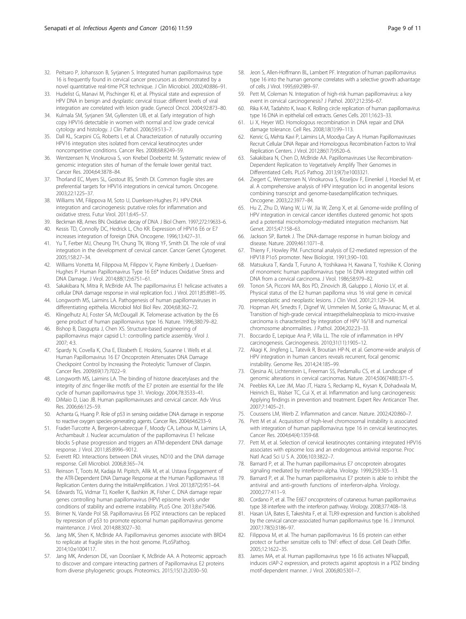- <span id="page-8-0"></span>32. Peitsaro P, Johansson B, Syrjanen S. Integrated human papillomavirus type 16 is frequently found in cervical cancer precursors as demonstrated by a novel quantitative real-time PCR technique. J Clin Microbiol. 2002;40:886–91.
- 33. Hudelist G, Manavi M, Pischinger KI, et al. Physical state and expression of HPV DNA in benign and dysplastic cervical tissue: different levels of viral integration are correlated with lesion grade. Gynecol Oncol. 2004;92:873–80.
- 34. Kulmala SM, Syrjanen SM, Gyllensten UB, et al. Early integration of high copy HPV16 detectable in women with normal and low grade cervical cytology and histology. J Clin Pathol. 2006;59:513–7.
- 35. Dall KL, Scarpini CG, Roberts I, et al. Characterization of naturally occurring HPV16 integration sites isolated from cervical keratinocytes under noncompetitive conditions. Cancer Res. 2008;68:8249–59.
- 36. Wentzensen N, Vinokurova S, von Knebel Doeberitz M. Systematic review of genomic integration sites of human of the female lower genital tract. Cancer Res. 2004;64:3878–84.
- 37. Thorland EC, Myers SL, Gostout BS, Smith DI. Common fragile sites are preferential targets for HPV16 integrations in cervical tumors. Oncogene. 2003;22:1225–37.
- 38. Williams VM, Filippova M, Soto U, Duerksen-Hughes PJ. HPV-DNA integration and carcinogenesis: putative roles for inflammation and oxidative stress. Futur Virol. 2011;6:45–57.
- 39. Beckman KB, Ames BN. Oxidative decay of DNA. J Biol Chem. 1997;272:19633–6.
- 40. Kessis TD, Connolly DC, Hedrick L, Cho KR. Expression of HPV16 E6 or E7 increases integration of foreign DNA. Oncogene. 1996;13:427–31.
- 41. Yu T, Ferber MJ, Cheung TH, Chung TK, Wong YF, Smith DI. The role of viral integration in the development of cervical cancer. Cancer Genet Cytogenet. 2005;158:27–34.
- 42. Williams Vonetta M, Filippova M, Filippov V, Payne Kimberly J, Duerksen-Hughes P. Human Papillomavirus Type 16 E6\* Induces Oxidative Stress and DNA Damage. J Virol. 2014;88(12):6751–61.
- 43. Sakakibara N, Mitra R, McBride AA. The papillomavirus E1 helicase activates a cellular DNA damage response in viral replication foci. J Virol. 2011;85:8981–95.
- 44. Longworth MS, Laimins LA. Pathogenesis of human papillomaviruses in differentiating epithelia. Microbiol Mol Biol Rev. 2004;68:362–72.
- 45. Klingelhutz AJ, Foster SA, McDougall JK. Telomerase activation by the E6 gene product of human papillomavirus type 16. Nature. 1996;380:79–82.
- 46. Bishop B, Dasgupta J, Chen XS. Structure-based engineering of papillomavirus major capsid L1: controlling particle assembly. Virol J. 2007; 4:3.
- 47. Spardy N, Covella K, Cha E, Elizabeth E. Hoskins, Susanne I. Wells et al. Human Papillomavirus 16 E7 Oncoprotein Attenuates DNA Damage Checkpoint Control by Increasing the Proteolytic Turnover of Claspin. Cancer Res. 2009;69(17):7022–9.
- 48. Longworth MS, Laimins LA. The binding of histone deacetylases and the integrity of zinc finger-like motifs of the E7 protein are essential for the life cycle of human papillomavirus type 31. Virology. 2004;78:3533–41.
- 49. DiMaio D, Liao JB. Human papillomaviruses and cervical cancer. Adv Virus Res. 2006;66:125–59.
- 50. Achanta G, Huang P. Role of p53 in sensing oxidative DNA damage in response to reactive oxygen species-generating agents. Cancer Res. 2004;64:6233–9.
- 51. Fradet-Turcotte A, Bergeron-Labrecque F, Moody CA, Lehoux M, Laimins LA, Archambault J. Nuclear accumulation of the papillomavirus E1 helicase blocks S-phase progression and triggers an ATM-dependent DNA damage response. J Virol. 2011;85:8996–9012.
- 52. Everett RD. Interactions between DNA viruses, ND10 and the DNA damage response. Cell Microbiol. 2006;8:365–74.
- 53. Reinson T, Toots M, Kadaja M. Pipitch, Allik M, et al. Ustava Engagement of the ATR-Dependent DNA Damage Response at the Human Papillomavirus 18 Replication Centers during the InitialAmplification. J Virol. 2013;87(2):951–64.
- 54. Edwards TG, Vidmar TJ, Koeller K, Bashkin JK, Fisher C. DNA damage repair genes controlling human papillomavirus (HPV) episome levels under conditions of stability and extreme instability. PLoS One. 2013;8:e75406.
- 55. Brimer N, Vande Pol SB. Papillomavirus E6 PDZ interactions can be replaced by repression of p53 to promote episomal human papillomavirus genome maintenance. J Virol. 2014;88:3027–30.
- 56. Jang MK, Shen K, McBride AA. Papillomavirus genomes associate with BRD4 to replicate at fragile sites in the host genome. PLoSPathog. 2014;10:e1004117.
- 57. Jang MK, Anderson DE, van Doorslaer K, McBride AA. A Proteomic approach to discover and compare interacting partners of Papillomavirus E2 proteins from diverse phylogenetic groups. Proteomics. 2015;15(12):2030–50.
- 58. Jeon S, Allen-Hoffmann BL, Lambert PF. Integration of human papillomavirus type 16 into the human genome correlates with a selective growth advantage of cells. J Virol. 1995;69:2989–97.
- 59. Pett M, Coleman N. Integration of high-risk human papillomavirus: a key event in cervical carcinogenesis? J Pathol. 2007;212:356–67.
- 60. Rika K-M, Tadahito K, Iwao K. Rolling circle replication of human papillomavirus type 16 DNA in epithelial cell extracts. Genes Cells. 2011;16:23–33.
- 61. Li X, Heyer WD. Homologous recombination in DNA repair and DNA damage tolerance. Cell Res. 2008;18(1):99–113.
- 62. Kenric G, Mehta Kavi P, Laimins LA, Moodya Cary A. Human Papillomaviruses Recruit Cellular DNA Repair and Homologous Recombination Factors to Viral Replication Centers. J Virol. 2012;86(17):9520–6.
- 63. Sakakibara N, Chen D, McBride AA. Papillomaviruses Use Recombination-Dependent Replication to Vegetatively Amplify Their Genomes in Differentiated Cells. PLoS Pathog. 2013;9(7):e1003321.
- 64. Ziegert C, Wentzensen N, Vinokurova S, Kisseljov F, Einenkel J, Hoeckel M, et al. A comprehensive analysis of HPV integration loci in anogenital lesions combining transcript and genome-basedamplification techniques. Oncogene. 2003;22:3977–84.
- 65. Hu Z, Zhu D, Wang W, Li W, Jia W, Zeng X, et al. Genome-wide profiling of HPV integration in cervical cancer identifies clustered genomic hot spots and a potential microhomology-mediated integration mechanism. Nat Genet. 2015;47:158–63.
- 66. Jackson SP, Bartek J. The DNA-damage response in human biology and disease. Nature. 2009;461:1071–8.
- 67. Thierry F, Howley PM. Functional analysis of E2-mediated repression of the HPV18 P1o5 promoter. New Biologist. 1991;3:90–100.
- 68. Matsukura T, Kanda T, Furuno A, Yoshikawa H, Kawana T, Yoshiike K. Cloning of monomeric human papillomavirus type 16 DNA integrated within cell DNA from a cervical carcinoma. J Virol. 1986;58:979–82.
- 69. Tonon SA, Picconi MA, Bos PD, Zinovich JB, Galuppo J, Alonio LV, et al. Physical status of the E2 human papilloma virus 16 viral gene in cervical preneoplastic and neoplastic lesions. J Clin Virol. 2001;21:129–34.
- 70. Hopman AH, Smedts F, Dignef W, Ummelen M, Sonke G, Mravunac M, et al. Transition of high-grade cervical intraepithelialneoplasia to micro-invasive carcinoma is characterized by integration of HPV 16/18 and numerical chromosome abnormalities. J Pathol. 2004;202:23–33.
- 71. Boccardo E, Lepique Ana P, Villa LL. The role of inflammation in HPV carcinogenesis. Carcinogenesis. 2010;31(11):1905–12.
- 72. Akagi K, Jingfeng L, Tatevik R, Broutian HP-N, et al. Genome-wide analysis of HPV integration in human cancers reveals recurrent, focal genomic instability. Genome Res. 2014;24:185–99.
- 73. Ojesina AI, Lichtenstein L, Freeman SS, Pedamallu CS, et al. Landscape of genomic alterations in cervical carcinomas. Nature. 2014;506(7488):371–5.
- 74. Peebles KA, Lee JM, Mao JT, Hazra S, Reckamp KL, Krysan K, Dohadwala M, Heinrich EL, Walser TC, Cui X, et al. Inflammation and lung carcinogenesis: Applying findings in prevention and treatment. Expert Rev Anticancer Ther. 2007;7:1405–21.
- 75. Coussens LM, Werb Z. Inflammation and cancer. Nature. 2002;420:860–7.
- 76. Pett M et al. Acquisition of high-level chromosomal instability is associated with integration of human papillomavirus type 16 in cervical keratinocytes. Cancer Res. 2004;64(4):1359-68.
- 77. Pett M, et al. Selection of cervical keratinocytes containing integrated HPV16 associates with episome loss and an endogenous antiviral response. Proc Natl Acad Sci U S A. 2006;103:3822–7.
- Barnard P, et al. The human papillomavirus E7 oncoprotein abrogates signaling mediated by interferon-alpha. Virology. 1999;259:305–13.
- 79. Barnard P, et al. The human papillomavirus E7 protein is able to inhibit the antiviral and anti-growth functions of interferon-alpha. Virology. 2000;277:411–9.
- 80. Cordano P, et al. The E6E7 oncoproteins of cutaneous human papillomavirus type 38 interfere with the interferon pathway. Virology. 2008;377:408–18.
- 81. Hasan UA, Bates E, Takeshita F, et al. TLR9 expression and function is abolished by the cervical cancer-associated human papillomavirus type 16. J Immunol. 2007;178(5):3186–97.
- 82. Filippova M, et al. The human papillomavirus 16 E6 protein can either protect or further sensitize cells to TNF: effect of dose. Cell Death Differ. 2005;12:1622–35.
- 83. James MA, et al. Human papillomavirus type 16 E6 activates NFkappaB, induces cIAP-2 expression, and protects against apoptosis in a PDZ binding motif-dependent manner. J Virol. 2006;80:5301–7.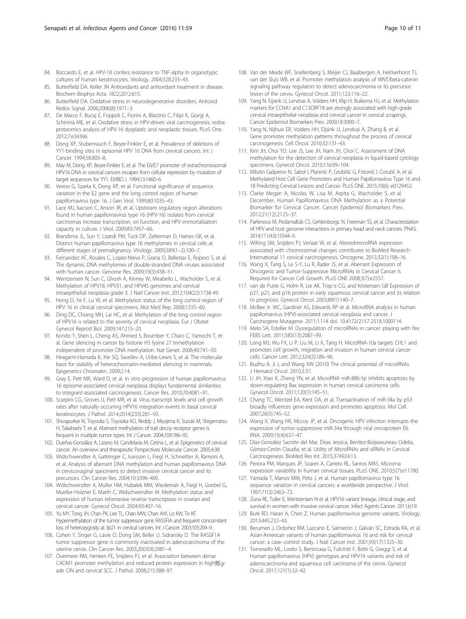- <span id="page-9-0"></span>84. Boccardo E, et al. HPV-18 confers resistance to TNF-alpha in organotypic cultures of human keratinocytes. Virology. 2004;328:233–43.
- 85. Butterfield DA. Keller JN Antioxidants and antioxidant treatment in disease. Biochem Biophys Acta. 1822;2012:615.
- 86. Butterfield DA. Oxidative stress in neurodegenerative disorders. Antioxid Redox Signal. 2006;2006(8):1971–3.
- 87. De Marco F, Bucaj E, Foppoli C, Fiorini A, Blarzino C, Filipi K, Giorgi A, Schininà ME, et al. Oxidative stress in HPV-driven viral carcinogenesis: redox proteomics analysis of HPV-16 dysplastic and neoplastic tissues. PLoS One. 2012;7:e34366.
- 88. Dong XP, Stubenrauch F, Beyer-Finkler E, et al. Prevalence of deletions of YY1-binding sites in episomal HPV 16 DNA from cervical cancers. Int J Cancer. 1994;58:803–8.
- 89. May M, Dong XP, Beyer-Finkler E, et al. The E6/E7 promoter of extrachromosomal HPV16 DNA in cervical cancers escapes from cellular repression by mutation of target sequences for YY1. EMBO J. 1994;13:1460–6.
- 90. Veress G, Szarka K, Dong XP, et al. Functional significance of sequence variation in the E2 gene and the long control region of human papillomavirus type 16. J Gen Virol. 1999;80:1035–43.
- 91. Lace MJ, Isacson C, Anson JR, et al. Upstream regulatory region alterations found in human papillomavirus type 16 (HPV-16) isolates from cervical carcinomas increase transcription, ori function, and HPV immortalization capacity in culture. J Virol. 2009;83:7457–66.
- 92. Brandsma JL, Sun Y, Lizardi PM, Tuck DP, Zelterman D, Haines GK, et al. Distinct human papillomavirus type 16 methylomes in cervical cells at different stages of premalignancy. Virology. 2009;389(1–2):100–7.
- 93. Fernandez AF, Rosales C, Lopez-Nieva P, Grana O, Ballestar E, Ropero S, et al. The dynamic DNA methylomes of double-stranded DNA viruses associated with human cancer. Genome Res. 2009;19(3):438–51.
- 94. Wentzensen N, Sun C, Ghosh A, Kinney W, Mirabello L, Wacholder S, et al. Methylation of HPV18, HPV31, and HPV45 genomes and cervical intraepithelial neoplasia grade 3. J Natl Cancer Inst. 2012;104(22):1738-49.
- 95. Hong D, Ye F, Lu W, et al. Methylation status of the long control region of HPV 16 in clinical cervical specimens. Mol Med Rep. 2008;1:555–60.
- 96. Ding DC, Chiang MH, Lai HC, et al. Methylation of the long control region of HPV16 is related to the severity of cervical neoplasia. Eur J Obstet Gynecol Reprod Biol. 2009;147:215–20.
- 97. Kondo Y, Shen L, Cheng AS, Ahmed S, Boumber Y, Charo C, Yamochi T, et al. Gene silencing in cancer by histone H3 lysine 27 trimethylation independent of promoter DNA methylation. Nat Genet. 2008;40:741–50.
- 98. Hiragami-Hamada K, Xie SQ, Saveliev A, Uribe-Lewis S, et al. The molecular basis for stability of heterochromatin-mediated silencing in mammals. Epigenetics Chromatin. 2009;2:14.
- 99. Gray E, Pett MR, Ward D, et al. In vitro progression of human papillomavirus 16 episome-associated cervical neoplasia displays fundamental similarities to integrant-associated carcinogenesis. Cancer Res. 2010;70:4081–91.
- 100. Scarpini CG, Groves IJ, Pett MR, et al. Virus transcript levels and cell growth rates after naturally occurring HPV16 integration events in basal cervical keratinocytes. J Pathol. 2014;2014(233):281–93.
- 101. Shivapurkar N, Toyooka S, Toyooka KO, Reddy J, Miyajima K, Suzuki M, Shigematsu H, Takahashi T, et al. Aberrant methylation of trail decoy receptor genes is frequent in multiple tumor types. Int J Cancer. 2004;109:786–92.
- 102. Dueñas-González A, Lizano M, Candelaria M, Cetina L, et al. Epigenetics of cervical cancer. An overview and therapeutic Perspectives Molecular Cancer. 2005;4:38.
- 103. Widschwendter A, Gattringer C, Ivarsson L, Fiegl H, Schneitter A, Ramoni A, et al. Analysis of aberrant DNA methylation and human papillomavirus DNA in cervicovaginal specimens to detect invasive cervical cancer and its precursors. Clin Cancer Res. 2004;10:3396–400.
- 104. Widschwendter A, Muller HM, Hubalek MM, Wiedemair A, Fiegl H, Goebel G, Mueller-Holzner E, Marth C, Widschwendter M. Methylation status and expression of human telomerase reverse transcriptase in ovarian and cervical cancer. Gynecol Oncol. 2004;93:407–16.
- 105. Yu MY, Tong JH, Chan PK, Lee TL, Chan MW, Chan AW, Lo KW, To KF. Hypermethylation of the tumor suppressor gene RASSFIA and frequent concomitant loss of heterozygosity at 3p21 in cervical cancers. Int J Cancer. 2003;105:204–9.
- 106. Cohen Y, Singer G, Lavie O, Dong SM, Beller U, Sidransky D. The RASSF1A tumor suppressor gene is commonly inactivated in adenocarcinoma of the uterine cervix. Clin Cancer Res. 2003;2003(9):2981–4.
- 107. Overmeer RM, Henken FE, Snijders PJ, et al. Association between dense CADM1 promoter methylation and reduced protein expression in high鄄gr ade CIN and cervical SCC. J Pathol. 2008;215:388–97.
- 108. Van der Meide WF, Snellenberg S, Meijer CJ, Baalbergen A, Helmerhorst TJ, van der Sluis WB, et al. Promoter methylation analysis of WNT/beta-catenin signaling pathway regulators to detect adenocarcinoma or its precursor lesion of the cervix. Gynecol Oncol. 2011;123:116–22.
- 109. Yang N, Eijsink JJ, Lendvai A, Volders HH, Klip H, Buikema HJ, et al. Methylation markers for CCNA1 and C13ORF18 are strongly associated with high-grade cervical intraepithelial neoplasia and cervical cancer in cervical scrapings. Cancer Epidemiol Biomarkers Prev. 2009;18:3000–7.
- 110. Yang N, Nijhuis ER, Volders HH, Eijsink JJ, Lendvai A, Zhang B, et al. Gene promoter methylation patterns throughout the process of cervical carcinogenesis. Cell Oncol. 2010;32:131–43.
- 111. Kim JH, Choi YD, Lee JS, Lee JH, Nam JH, Choi C. Assessment of DNA methylation for the detection of cervical neoplasia in liquid-based cytology specimens. Gynecol Oncol. 2010;116:99–104.
- 112. Milutin Gašperov N, Sabol I, Planinić P, Grubišić G, Fistonić I, Ćorušić A, et al. Methylated Host Cell Gene Promoters and Human Papillomavirus Type 16 and 18 Predicting Cervical Lesions and Cancer. PLoS ONE. 2015;10(6): e0129452.
- 113. Clarke Megan A, Nicolas W, Lisa M, Arpita G, Wacholder S, et al. December. Human Papillomavirus DNA Methylation as a Potential Biomarker for Cervical Cancer. Cancer Epidemiol Biomarkers Prev. 2012;21(12):2125–37.
- 114. Parfenova M, Pedamallub CS, Gehlenborgc N, Freeman SS, et al. Characterization of HPV and host genome interactions in primary head and neck cancers. PNAS. 2014;111(43):15544–9.
- 115. Wilting SM, Snijders PJ, Verlaat W, et al. AlteredmicroRNA expression associated with chromosomal changes contributes to BioMed Research International 11 cervical carcinogenesis. Oncogene. 2013;32(1):106–16.
- 116. Wang X, Tang S, Le S-Y, Lu R, Rader JS, et al. Aberrant Expression of Oncogenic and Tumor-Suppressive MicroRNAs in Cervical Cancer Is Required for Cancer Cell Growth. PLoS ONE 2008;3(7):e2557.
- 117. van de Putte G, Holm R, Lie AK. Trop´e CG, and Kristensen GB Expression of p27, p21, and p16 protein in early squamous cervical cancer and its relation to prognosis. Gynecol Oncol. 2003;89(1):140–7.
- 118. McBee Jr. WC, Gardiner AS, Edwards RP et al. MicroRNA analysis in human papillomavirus (HPV)-associated cervical neoplasia and cancer. J Carcinogene Mutagene. 2011;1:114 doi: [10.4172/2157-2518.1000114.](http://dx.doi.org/10.4172/2157-2518.1000114)
- 119. Melo SA, Esteller M. Dysregulation of microRNAs in cancer: playing with fire. FEBS Lett. 2011;585(13):2087–99.
- 120. Long MJ, Wu FX, Li P, Liu M, Li X, Tang H. MicroRNA-10a targets CHL1 and promotes cell growth, migration and invasion in human cervical cancer cells. Cancer Lett. 2012;324(2):186–96.
- 121. Budhu A. Ji J, and Wang XW (2010) The clinical potential of microRNAs. J Hematol Oncol. 2010;3:37.
- 122. Li JH, Xiao X, Zhang YN, et al. MicroRNA miR-886-5p inhibits apoptosis by down-regulating Bax expression in human cervical carcinoma cells. Gynecol Oncol. 2011;120(1):145–51.
- 123. Chang TC, Wentzel EA, Kent OA, et al. Transactivation of miR-34a by p53 broadly influences gene expression and promotes apoptosis. Mol Cell. 2007;26(5):745–52.
- 124. Wang X, Wang HK, Mccoy JP, et al. Oncogenic HPV infection interrupts the expression of tumor-suppressive miR-34a through viral oncoprotein E6. RNA. 2009;15(4):637–47.
- 125. Díaz-González Sacnite del Mar, Deas Jessica, Benítez-Boijseauneau Odelia, Gómez-Cerón Claudia, et al. Utility of MicroRNAs and siRNAs in Cervical Carcinogenesis. BioMed Res Int. 2015;374924:13.
- 126. Pereira PM, Marques JP, Soares A, Carreto RL, Santos MAS. Microrna expression variability in human cervical tissues. PLoS ONE. 2010;5(7):e11780.
- 127. Yamada T, Manos MM, Peto J, et al. Human papillomavirus type 16 sequence variation in cervical cancers: a worldwide perspective. J Virol. 1997;71(3):2463–72.
- 128. Zuna RE, Tuller E, Wentzensen N et al. HPV16 variant lineage, clinical stage, and survival in women with invasive cervical cancer. Infect Agents Cancer. 2011;6:19.
- 129. Burk RD, Harari A, Chen Z. Human papillomavirus genome variants. Virology. 2013;445:232–43.
- 130. Berumen J, Ordoñez RM, Lazcano E, Salmerón J, Galván SC, Estrada RA, et al. Asian-American variants of human papillomavirus 16 and risk for cervical cancer: a case–control study. J Natl Cancer Inst. 2001;93(17):1325–30.
- 131. Tornesello ML, Losito S, Benincasa G, Fulciniti F, Botti G, Greggi S, et al. Human papillomavirus (HPV) genotypes and HPV16 variants and risk of adenocarcinoma and squamous cell carcinoma of the cervix. Gynecol Oncol. 2011;121(1):32–42.